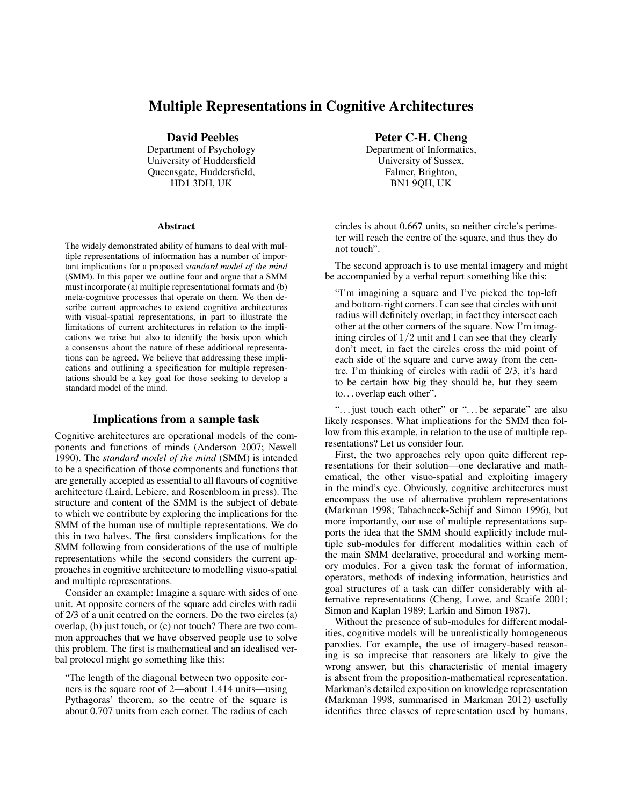# Multiple Representations in Cognitive Architectures

David Peebles

Department of Psychology University of Huddersfield Queensgate, Huddersfield, HD1 3DH, UK

#### Abstract

The widely demonstrated ability of humans to deal with multiple representations of information has a number of important implications for a proposed *standard model of the mind* (SMM). In this paper we outline four and argue that a SMM must incorporate (a) multiple representational formats and (b) meta-cognitive processes that operate on them. We then describe current approaches to extend cognitive architectures with visual-spatial representations, in part to illustrate the limitations of current architectures in relation to the implications we raise but also to identify the basis upon which a consensus about the nature of these additional representations can be agreed. We believe that addressing these implications and outlining a specification for multiple representations should be a key goal for those seeking to develop a standard model of the mind.

### Implications from a sample task

Cognitive architectures are operational models of the components and functions of minds (Anderson 2007; Newell 1990). The *standard model of the mind* (SMM) is intended to be a specification of those components and functions that are generally accepted as essential to all flavours of cognitive architecture (Laird, Lebiere, and Rosenbloom in press). The structure and content of the SMM is the subject of debate to which we contribute by exploring the implications for the SMM of the human use of multiple representations. We do this in two halves. The first considers implications for the SMM following from considerations of the use of multiple representations while the second considers the current approaches in cognitive architecture to modelling visuo-spatial and multiple representations.

Consider an example: Imagine a square with sides of one unit. At opposite corners of the square add circles with radii of 2/3 of a unit centred on the corners. Do the two circles (a) overlap, (b) just touch, or (c) not touch? There are two common approaches that we have observed people use to solve this problem. The first is mathematical and an idealised verbal protocol might go something like this:

"The length of the diagonal between two opposite corners is the square root of 2—about 1.414 units—using Pythagoras' theorem, so the centre of the square is about 0.707 units from each corner. The radius of each

Peter C-H. Cheng

Department of Informatics, University of Sussex, Falmer, Brighton, BN1 9QH, UK

circles is about 0.667 units, so neither circle's perimeter will reach the centre of the square, and thus they do not touch".

The second approach is to use mental imagery and might be accompanied by a verbal report something like this:

"I'm imagining a square and I've picked the top-left and bottom-right corners. I can see that circles with unit radius will definitely overlap; in fact they intersect each other at the other corners of the square. Now I'm imagining circles of  $1/2$  unit and I can see that they clearly don't meet, in fact the circles cross the mid point of each side of the square and curve away from the centre. I'm thinking of circles with radii of 2/3, it's hard to be certain how big they should be, but they seem to. . . overlap each other".

"... just touch each other" or "... be separate" are also likely responses. What implications for the SMM then follow from this example, in relation to the use of multiple representations? Let us consider four.

First, the two approaches rely upon quite different representations for their solution—one declarative and mathematical, the other visuo-spatial and exploiting imagery in the mind's eye. Obviously, cognitive architectures must encompass the use of alternative problem representations (Markman 1998; Tabachneck-Schijf and Simon 1996), but more importantly, our use of multiple representations supports the idea that the SMM should explicitly include multiple sub-modules for different modalities within each of the main SMM declarative, procedural and working memory modules. For a given task the format of information, operators, methods of indexing information, heuristics and goal structures of a task can differ considerably with alternative representations (Cheng, Lowe, and Scaife 2001; Simon and Kaplan 1989; Larkin and Simon 1987).

Without the presence of sub-modules for different modalities, cognitive models will be unrealistically homogeneous parodies. For example, the use of imagery-based reasoning is so imprecise that reasoners are likely to give the wrong answer, but this characteristic of mental imagery is absent from the proposition-mathematical representation. Markman's detailed exposition on knowledge representation (Markman 1998, summarised in Markman 2012) usefully identifies three classes of representation used by humans,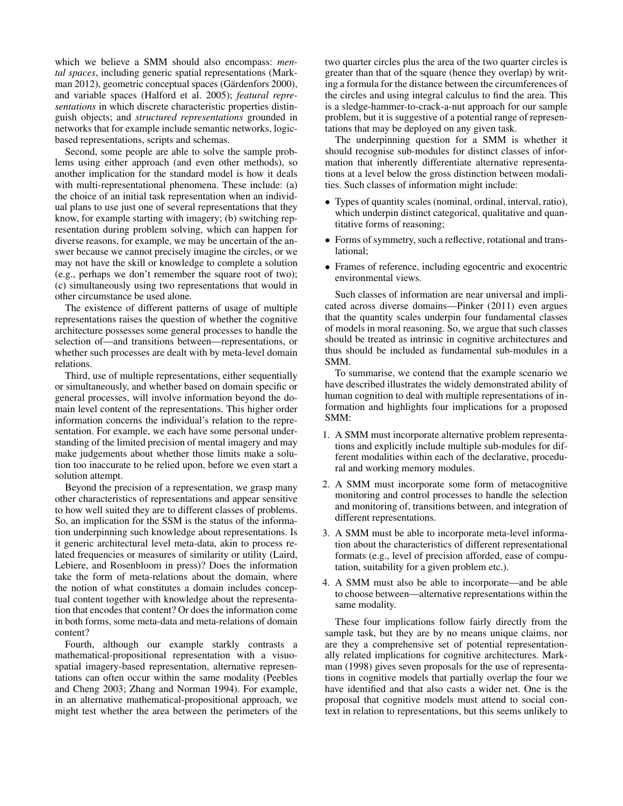which we believe a SMM should also encompass: *mental spaces*, including generic spatial representations (Markman 2012), geometric conceptual spaces (Gärdenfors 2000), and variable spaces (Halford et al. 2005); *featural representations* in which discrete characteristic properties distinguish objects; and *structured representations* grounded in networks that for example include semantic networks, logicbased representations, scripts and schemas.

Second, some people are able to solve the sample problems using either approach (and even other methods), so another implication for the standard model is how it deals with multi-representational phenomena. These include: (a) the choice of an initial task representation when an individual plans to use just one of several representations that they know, for example starting with imagery; (b) switching representation during problem solving, which can happen for diverse reasons, for example, we may be uncertain of the answer because we cannot precisely imagine the circles, or we may not have the skill or knowledge to complete a solution (e.g., perhaps we don't remember the square root of two); (c) simultaneously using two representations that would in other circumstance be used alone.

The existence of different patterns of usage of multiple representations raises the question of whether the cognitive architecture possesses some general processes to handle the selection of—and transitions between—representations, or whether such processes are dealt with by meta-level domain relations.

Third, use of multiple representations, either sequentially or simultaneously, and whether based on domain specific or general processes, will involve information beyond the domain level content of the representations. This higher order information concerns the individual's relation to the representation. For example, we each have some personal understanding of the limited precision of mental imagery and may make judgements about whether those limits make a solution too inaccurate to be relied upon, before we even start a solution attempt.

Beyond the precision of a representation, we grasp many other characteristics of representations and appear sensitive to how well suited they are to different classes of problems. So, an implication for the SSM is the status of the information underpinning such knowledge about representations. Is it generic architectural level meta-data, akin to process related frequencies or measures of similarity or utility (Laird, Lebiere, and Rosenbloom in press)? Does the information take the form of meta-relations about the domain, where the notion of what constitutes a domain includes conceptual content together with knowledge about the representation that encodes that content? Or does the information come in both forms, some meta-data and meta-relations of domain content?

Fourth, although our example starkly contrasts a mathematical-propositional representation with a visuospatial imagery-based representation, alternative representations can often occur within the same modality (Peebles and Cheng 2003; Zhang and Norman 1994). For example, in an alternative mathematical-propositional approach, we might test whether the area between the perimeters of the

two quarter circles plus the area of the two quarter circles is greater than that of the square (hence they overlap) by writing a formula for the distance between the circumferences of the circles and using integral calculus to find the area. This is a sledge-hammer-to-crack-a-nut approach for our sample problem, but it is suggestive of a potential range of representations that may be deployed on any given task.

The underpinning question for a SMM is whether it should recognise sub-modules for distinct classes of information that inherently differentiate alternative representations at a level below the gross distinction between modalities. Such classes of information might include:

- Types of quantity scales (nominal, ordinal, interval, ratio), which underpin distinct categorical, qualitative and quantitative forms of reasoning;
- Forms of symmetry, such a reflective, rotational and translational;
- Frames of reference, including egocentric and exocentric environmental views.

Such classes of information are near universal and implicated across diverse domains—Pinker (2011) even argues that the quantity scales underpin four fundamental classes of models in moral reasoning. So, we argue that such classes should be treated as intrinsic in cognitive architectures and thus should be included as fundamental sub-modules in a SMM.

To summarise, we contend that the example scenario we have described illustrates the widely demonstrated ability of human cognition to deal with multiple representations of information and highlights four implications for a proposed SMM:

- 1. A SMM must incorporate alternative problem representations and explicitly include multiple sub-modules for different modalities within each of the declarative, procedural and working memory modules.
- 2. A SMM must incorporate some form of metacognitive monitoring and control processes to handle the selection and monitoring of, transitions between, and integration of different representations.
- 3. A SMM must be able to incorporate meta-level information about the characteristics of different representational formats (e.g., level of precision afforded, ease of computation, suitability for a given problem etc.).
- 4. A SMM must also be able to incorporate—and be able to choose between—alternative representations within the same modality.

These four implications follow fairly directly from the sample task, but they are by no means unique claims, nor are they a comprehensive set of potential representationally related implications for cognitive architectures. Markman (1998) gives seven proposals for the use of representations in cognitive models that partially overlap the four we have identified and that also casts a wider net. One is the proposal that cognitive models must attend to social context in relation to representations, but this seems unlikely to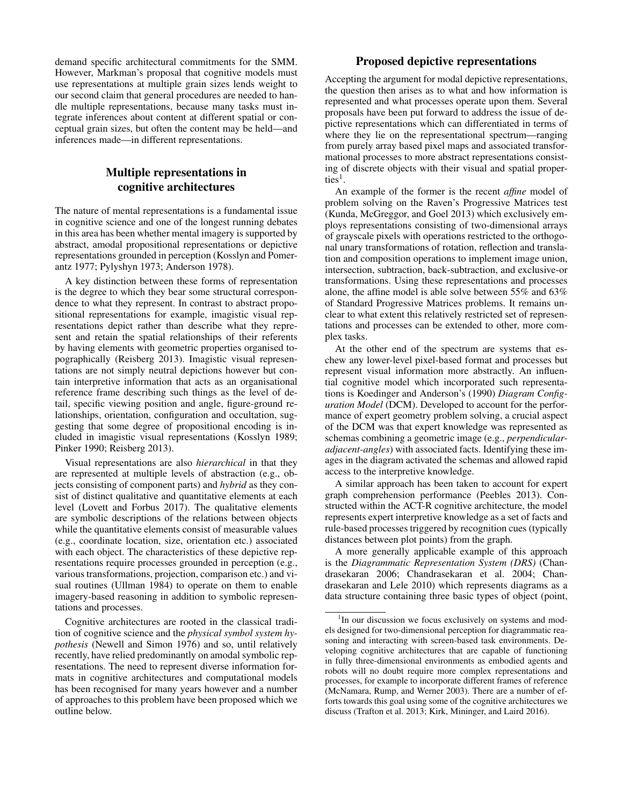demand specific architectural commitments for the SMM. However, Markman's proposal that cognitive models must use representations at multiple grain sizes lends weight to our second claim that general procedures are needed to handle multiple representations, because many tasks must integrate inferences about content at different spatial or conceptual grain sizes, but often the content may be held—and inferences made—in different representations.

# Multiple representations in cognitive architectures

The nature of mental representations is a fundamental issue in cognitive science and one of the longest running debates in this area has been whether mental imagery is supported by abstract, amodal propositional representations or depictive representations grounded in perception (Kosslyn and Pomerantz 1977; Pylyshyn 1973; Anderson 1978).

A key distinction between these forms of representation is the degree to which they bear some structural correspondence to what they represent. In contrast to abstract propositional representations for example, imagistic visual representations depict rather than describe what they represent and retain the spatial relationships of their referents by having elements with geometric properties organised topographically (Reisberg 2013). Imagistic visual representations are not simply neutral depictions however but contain interpretive information that acts as an organisational reference frame describing such things as the level of detail, specific viewing position and angle, figure-ground relationships, orientation, configuration and occultation, suggesting that some degree of propositional encoding is included in imagistic visual representations (Kosslyn 1989; Pinker 1990; Reisberg 2013).

Visual representations are also *hierarchical* in that they are represented at multiple levels of abstraction (e.g., objects consisting of component parts) and *hybrid* as they consist of distinct qualitative and quantitative elements at each level (Lovett and Forbus 2017). The qualitative elements are symbolic descriptions of the relations between objects while the quantitative elements consist of measurable values (e.g., coordinate location, size, orientation etc.) associated with each object. The characteristics of these depictive representations require processes grounded in perception (e.g., various transformations, projection, comparison etc.) and visual routines (Ullman 1984) to operate on them to enable imagery-based reasoning in addition to symbolic representations and processes.

Cognitive architectures are rooted in the classical tradition of cognitive science and the *physical symbol system hypothesis* (Newell and Simon 1976) and so, until relatively recently, have relied predominantly on amodal symbolic representations. The need to represent diverse information formats in cognitive architectures and computational models has been recognised for many years however and a number of approaches to this problem have been proposed which we outline below.

### Proposed depictive representations

Accepting the argument for modal depictive representations, the question then arises as to what and how information is represented and what processes operate upon them. Several proposals have been put forward to address the issue of depictive representations which can differentiated in terms of where they lie on the representational spectrum—ranging from purely array based pixel maps and associated transformational processes to more abstract representations consisting of discrete objects with their visual and spatial properties<sup>1</sup>.

An example of the former is the recent *affine* model of problem solving on the Raven's Progressive Matrices test (Kunda, McGreggor, and Goel 2013) which exclusively employs representations consisting of two-dimensional arrays of grayscale pixels with operations restricted to the orthogonal unary transformations of rotation, reflection and translation and composition operations to implement image union, intersection, subtraction, back-subtraction, and exclusive-or transformations. Using these representations and processes alone, the affine model is able solve between 55% and 63% of Standard Progressive Matrices problems. It remains unclear to what extent this relatively restricted set of representations and processes can be extended to other, more complex tasks.

At the other end of the spectrum are systems that eschew any lower-level pixel-based format and processes but represent visual information more abstractly. An influential cognitive model which incorporated such representations is Koedinger and Anderson's (1990) *Diagram Configuration Model* (DCM). Developed to account for the performance of expert geometry problem solving, a crucial aspect of the DCM was that expert knowledge was represented as schemas combining a geometric image (e.g., *perpendicularadjacent-angles*) with associated facts. Identifying these images in the diagram activated the schemas and allowed rapid access to the interpretive knowledge.

A similar approach has been taken to account for expert graph comprehension performance (Peebles 2013). Constructed within the ACT-R cognitive architecture, the model represents expert interpretive knowledge as a set of facts and rule-based processes triggered by recognition cues (typically distances between plot points) from the graph.

A more generally applicable example of this approach is the *Diagrammatic Representation System (DRS)* (Chandrasekaran 2006; Chandrasekaran et al. 2004; Chandrasekaran and Lele 2010) which represents diagrams as a data structure containing three basic types of object (point,

<sup>&</sup>lt;sup>1</sup>In our discussion we focus exclusively on systems and models designed for two-dimensional perception for diagrammatic reasoning and interacting with screen-based task environments. Developing cognitive architectures that are capable of functioning in fully three-dimensional environments as embodied agents and robots will no doubt require more complex representations and processes, for example to incorporate different frames of reference (McNamara, Rump, and Werner 2003). There are a number of efforts towards this goal using some of the cognitive architectures we discuss (Trafton et al. 2013; Kirk, Mininger, and Laird 2016).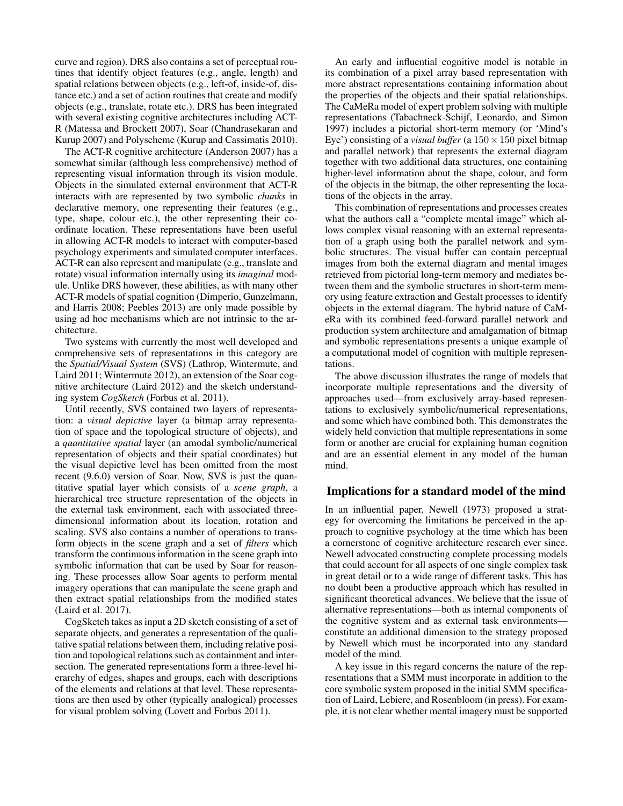curve and region). DRS also contains a set of perceptual routines that identify object features (e.g., angle, length) and spatial relations between objects (e.g., left-of, inside-of, distance etc.) and a set of action routines that create and modify objects (e.g., translate, rotate etc.). DRS has been integrated with several existing cognitive architectures including ACT-R (Matessa and Brockett 2007), Soar (Chandrasekaran and Kurup 2007) and Polyscheme (Kurup and Cassimatis 2010).

The ACT-R cognitive architecture (Anderson 2007) has a somewhat similar (although less comprehensive) method of representing visual information through its vision module. Objects in the simulated external environment that ACT-R interacts with are represented by two symbolic *chunks* in declarative memory, one representing their features (e.g., type, shape, colour etc.), the other representing their coordinate location. These representations have been useful in allowing ACT-R models to interact with computer-based psychology experiments and simulated computer interfaces. ACT-R can also represent and manipulate (e.g., translate and rotate) visual information internally using its *imaginal* module. Unlike DRS however, these abilities, as with many other ACT-R models of spatial cognition (Dimperio, Gunzelmann, and Harris 2008; Peebles 2013) are only made possible by using ad hoc mechanisms which are not intrinsic to the architecture.

Two systems with currently the most well developed and comprehensive sets of representations in this category are the *Spatial/Visual System* (SVS) (Lathrop, Wintermute, and Laird 2011; Wintermute 2012), an extension of the Soar cognitive architecture (Laird 2012) and the sketch understanding system *CogSketch* (Forbus et al. 2011).

Until recently, SVS contained two layers of representation: a *visual depictive* layer (a bitmap array representation of space and the topological structure of objects), and a *quantitative spatial* layer (an amodal symbolic/numerical representation of objects and their spatial coordinates) but the visual depictive level has been omitted from the most recent (9.6.0) version of Soar. Now, SVS is just the quantitative spatial layer which consists of a *scene graph*, a hierarchical tree structure representation of the objects in the external task environment, each with associated threedimensional information about its location, rotation and scaling. SVS also contains a number of operations to transform objects in the scene graph and a set of *filters* which transform the continuous information in the scene graph into symbolic information that can be used by Soar for reasoning. These processes allow Soar agents to perform mental imagery operations that can manipulate the scene graph and then extract spatial relationships from the modified states (Laird et al. 2017).

CogSketch takes as input a 2D sketch consisting of a set of separate objects, and generates a representation of the qualitative spatial relations between them, including relative position and topological relations such as containment and intersection. The generated representations form a three-level hierarchy of edges, shapes and groups, each with descriptions of the elements and relations at that level. These representations are then used by other (typically analogical) processes for visual problem solving (Lovett and Forbus 2011).

An early and influential cognitive model is notable in its combination of a pixel array based representation with more abstract representations containing information about the properties of the objects and their spatial relationships. The CaMeRa model of expert problem solving with multiple representations (Tabachneck-Schijf, Leonardo, and Simon 1997) includes a pictorial short-term memory (or 'Mind's Eye') consisting of a *visual buffer* (a  $150 \times 150$  pixel bitmap and parallel network) that represents the external diagram together with two additional data structures, one containing higher-level information about the shape, colour, and form of the objects in the bitmap, the other representing the locations of the objects in the array.

This combination of representations and processes creates what the authors call a "complete mental image" which allows complex visual reasoning with an external representation of a graph using both the parallel network and symbolic structures. The visual buffer can contain perceptual images from both the external diagram and mental images retrieved from pictorial long-term memory and mediates between them and the symbolic structures in short-term memory using feature extraction and Gestalt processes to identify objects in the external diagram. The hybrid nature of CaMeRa with its combined feed-forward parallel network and production system architecture and amalgamation of bitmap and symbolic representations presents a unique example of a computational model of cognition with multiple representations.

The above discussion illustrates the range of models that incorporate multiple representations and the diversity of approaches used—from exclusively array-based representations to exclusively symbolic/numerical representations, and some which have combined both. This demonstrates the widely held conviction that multiple representations in some form or another are crucial for explaining human cognition and are an essential element in any model of the human mind.

### Implications for a standard model of the mind

In an influential paper, Newell (1973) proposed a strategy for overcoming the limitations he perceived in the approach to cognitive psychology at the time which has been a cornerstone of cognitive architecture research ever since. Newell advocated constructing complete processing models that could account for all aspects of one single complex task in great detail or to a wide range of different tasks. This has no doubt been a productive approach which has resulted in significant theoretical advances. We believe that the issue of alternative representations—both as internal components of the cognitive system and as external task environments constitute an additional dimension to the strategy proposed by Newell which must be incorporated into any standard model of the mind.

A key issue in this regard concerns the nature of the representations that a SMM must incorporate in addition to the core symbolic system proposed in the initial SMM specification of Laird, Lebiere, and Rosenbloom (in press). For example, it is not clear whether mental imagery must be supported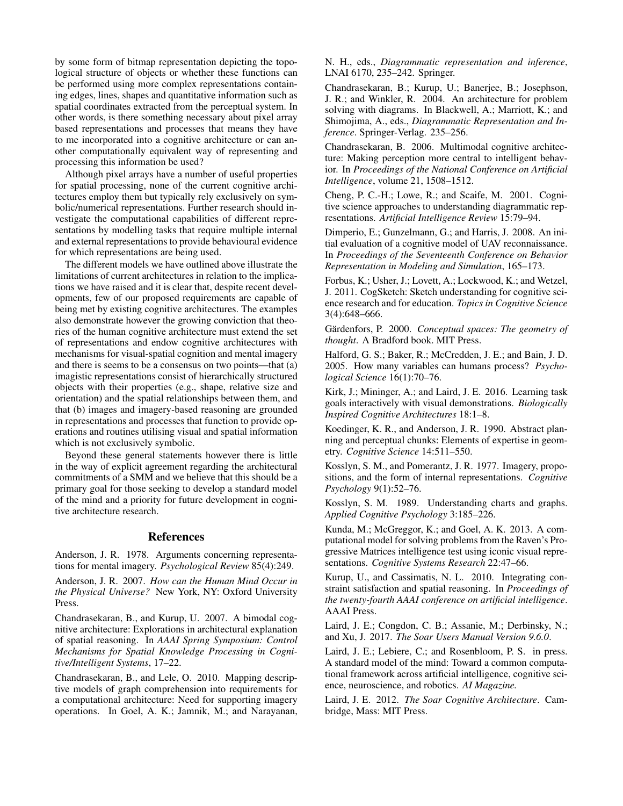by some form of bitmap representation depicting the topological structure of objects or whether these functions can be performed using more complex representations containing edges, lines, shapes and quantitative information such as spatial coordinates extracted from the perceptual system. In other words, is there something necessary about pixel array based representations and processes that means they have to me incorporated into a cognitive architecture or can another computationally equivalent way of representing and processing this information be used?

Although pixel arrays have a number of useful properties for spatial processing, none of the current cognitive architectures employ them but typically rely exclusively on symbolic/numerical representations. Further research should investigate the computational capabilities of different representations by modelling tasks that require multiple internal and external representations to provide behavioural evidence for which representations are being used.

The different models we have outlined above illustrate the limitations of current architectures in relation to the implications we have raised and it is clear that, despite recent developments, few of our proposed requirements are capable of being met by existing cognitive architectures. The examples also demonstrate however the growing conviction that theories of the human cognitive architecture must extend the set of representations and endow cognitive architectures with mechanisms for visual-spatial cognition and mental imagery and there is seems to be a consensus on two points—that (a) imagistic representations consist of hierarchically structured objects with their properties (e.g., shape, relative size and orientation) and the spatial relationships between them, and that (b) images and imagery-based reasoning are grounded in representations and processes that function to provide operations and routines utilising visual and spatial information which is not exclusively symbolic.

Beyond these general statements however there is little in the way of explicit agreement regarding the architectural commitments of a SMM and we believe that this should be a primary goal for those seeking to develop a standard model of the mind and a priority for future development in cognitive architecture research.

### References

Anderson, J. R. 1978. Arguments concerning representations for mental imagery. *Psychological Review* 85(4):249.

Anderson, J. R. 2007. *How can the Human Mind Occur in the Physical Universe?* New York, NY: Oxford University Press.

Chandrasekaran, B., and Kurup, U. 2007. A bimodal cognitive architecture: Explorations in architectural explanation of spatial reasoning. In *AAAI Spring Symposium: Control Mechanisms for Spatial Knowledge Processing in Cognitive/Intelligent Systems*, 17–22.

Chandrasekaran, B., and Lele, O. 2010. Mapping descriptive models of graph comprehension into requirements for a computational architecture: Need for supporting imagery operations. In Goel, A. K.; Jamnik, M.; and Narayanan, N. H., eds., *Diagrammatic representation and inference*, LNAI 6170, 235–242. Springer.

Chandrasekaran, B.; Kurup, U.; Banerjee, B.; Josephson, J. R.; and Winkler, R. 2004. An architecture for problem solving with diagrams. In Blackwell, A.; Marriott, K.; and Shimojima, A., eds., *Diagrammatic Representation and Inference*. Springer-Verlag. 235–256.

Chandrasekaran, B. 2006. Multimodal cognitive architecture: Making perception more central to intelligent behavior. In *Proceedings of the National Conference on Artificial Intelligence*, volume 21, 1508–1512.

Cheng, P. C.-H.; Lowe, R.; and Scaife, M. 2001. Cognitive science approaches to understanding diagrammatic representations. *Artificial Intelligence Review* 15:79–94.

Dimperio, E.; Gunzelmann, G.; and Harris, J. 2008. An initial evaluation of a cognitive model of UAV reconnaissance. In *Proceedings of the Seventeenth Conference on Behavior Representation in Modeling and Simulation*, 165–173.

Forbus, K.; Usher, J.; Lovett, A.; Lockwood, K.; and Wetzel, J. 2011. CogSketch: Sketch understanding for cognitive science research and for education. *Topics in Cognitive Science* 3(4):648–666.

Gärdenfors, P. 2000. Conceptual spaces: The geometry of *thought*. A Bradford book. MIT Press.

Halford, G. S.; Baker, R.; McCredden, J. E.; and Bain, J. D. 2005. How many variables can humans process? *Psychological Science* 16(1):70–76.

Kirk, J.; Mininger, A.; and Laird, J. E. 2016. Learning task goals interactively with visual demonstrations. *Biologically Inspired Cognitive Architectures* 18:1–8.

Koedinger, K. R., and Anderson, J. R. 1990. Abstract planning and perceptual chunks: Elements of expertise in geometry. *Cognitive Science* 14:511–550.

Kosslyn, S. M., and Pomerantz, J. R. 1977. Imagery, propositions, and the form of internal representations. *Cognitive Psychology* 9(1):52–76.

Kosslyn, S. M. 1989. Understanding charts and graphs. *Applied Cognitive Psychology* 3:185–226.

Kunda, M.; McGreggor, K.; and Goel, A. K. 2013. A computational model for solving problems from the Raven's Progressive Matrices intelligence test using iconic visual representations. *Cognitive Systems Research* 22:47–66.

Kurup, U., and Cassimatis, N. L. 2010. Integrating constraint satisfaction and spatial reasoning. In *Proceedings of the twenty-fourth AAAI conference on artificial intelligence*. AAAI Press.

Laird, J. E.; Congdon, C. B.; Assanie, M.; Derbinsky, N.; and Xu, J. 2017. *The Soar Users Manual Version 9.6.0*.

Laird, J. E.; Lebiere, C.; and Rosenbloom, P. S. in press. A standard model of the mind: Toward a common computational framework across artificial intelligence, cognitive science, neuroscience, and robotics. *AI Magazine.*

Laird, J. E. 2012. *The Soar Cognitive Architecture*. Cambridge, Mass: MIT Press.